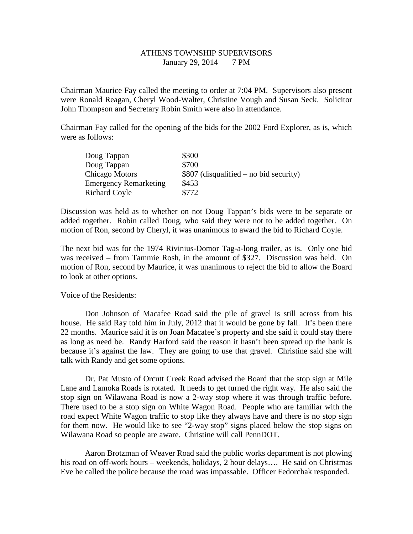## ATHENS TOWNSHIP SUPERVISORS January 29, 2014 7 PM

Chairman Maurice Fay called the meeting to order at 7:04 PM. Supervisors also present were Ronald Reagan, Cheryl Wood-Walter, Christine Vough and Susan Seck. Solicitor John Thompson and Secretary Robin Smith were also in attendance.

Chairman Fay called for the opening of the bids for the 2002 Ford Explorer, as is, which were as follows:

| Doug Tappan                  | \$300                                   |
|------------------------------|-----------------------------------------|
| Doug Tappan                  | \$700                                   |
| Chicago Motors               | $$807$ (disqualified – no bid security) |
| <b>Emergency Remarketing</b> | \$453                                   |
| <b>Richard Coyle</b>         | \$772                                   |

Discussion was held as to whether on not Doug Tappan's bids were to be separate or added together. Robin called Doug, who said they were not to be added together. On motion of Ron, second by Cheryl, it was unanimous to award the bid to Richard Coyle.

The next bid was for the 1974 Rivinius-Domor Tag-a-long trailer, as is. Only one bid was received – from Tammie Rosh, in the amount of \$327. Discussion was held. On motion of Ron, second by Maurice, it was unanimous to reject the bid to allow the Board to look at other options.

Voice of the Residents:

 Don Johnson of Macafee Road said the pile of gravel is still across from his house. He said Ray told him in July, 2012 that it would be gone by fall. It's been there 22 months. Maurice said it is on Joan Macafee's property and she said it could stay there as long as need be. Randy Harford said the reason it hasn't been spread up the bank is because it's against the law. They are going to use that gravel. Christine said she will talk with Randy and get some options.

 Dr. Pat Musto of Orcutt Creek Road advised the Board that the stop sign at Mile Lane and Lamoka Roads is rotated. It needs to get turned the right way. He also said the stop sign on Wilawana Road is now a 2-way stop where it was through traffic before. There used to be a stop sign on White Wagon Road. People who are familiar with the road expect White Wagon traffic to stop like they always have and there is no stop sign for them now. He would like to see "2-way stop" signs placed below the stop signs on Wilawana Road so people are aware. Christine will call PennDOT.

 Aaron Brotzman of Weaver Road said the public works department is not plowing his road on off-work hours – weekends, holidays, 2 hour delays…. He said on Christmas Eve he called the police because the road was impassable. Officer Fedorchak responded.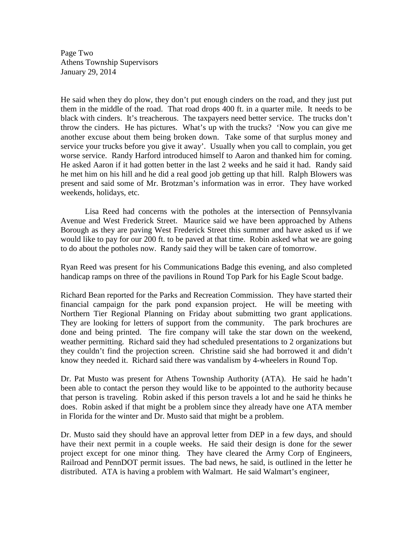Page Two Athens Township Supervisors January 29, 2014

He said when they do plow, they don't put enough cinders on the road, and they just put them in the middle of the road. That road drops 400 ft. in a quarter mile. It needs to be black with cinders. It's treacherous. The taxpayers need better service. The trucks don't throw the cinders. He has pictures. What's up with the trucks? 'Now you can give me another excuse about them being broken down. Take some of that surplus money and service your trucks before you give it away'. Usually when you call to complain, you get worse service. Randy Harford introduced himself to Aaron and thanked him for coming. He asked Aaron if it had gotten better in the last 2 weeks and he said it had. Randy said he met him on his hill and he did a real good job getting up that hill. Ralph Blowers was present and said some of Mr. Brotzman's information was in error. They have worked weekends, holidays, etc.

 Lisa Reed had concerns with the potholes at the intersection of Pennsylvania Avenue and West Frederick Street. Maurice said we have been approached by Athens Borough as they are paving West Frederick Street this summer and have asked us if we would like to pay for our 200 ft. to be paved at that time. Robin asked what we are going to do about the potholes now. Randy said they will be taken care of tomorrow.

Ryan Reed was present for his Communications Badge this evening, and also completed handicap ramps on three of the pavilions in Round Top Park for his Eagle Scout badge.

Richard Bean reported for the Parks and Recreation Commission. They have started their financial campaign for the park pond expansion project. He will be meeting with Northern Tier Regional Planning on Friday about submitting two grant applications. They are looking for letters of support from the community. The park brochures are done and being printed. The fire company will take the star down on the weekend, weather permitting. Richard said they had scheduled presentations to 2 organizations but they couldn't find the projection screen. Christine said she had borrowed it and didn't know they needed it. Richard said there was vandalism by 4-wheelers in Round Top.

Dr. Pat Musto was present for Athens Township Authority (ATA). He said he hadn't been able to contact the person they would like to be appointed to the authority because that person is traveling. Robin asked if this person travels a lot and he said he thinks he does. Robin asked if that might be a problem since they already have one ATA member in Florida for the winter and Dr. Musto said that might be a problem.

Dr. Musto said they should have an approval letter from DEP in a few days, and should have their next permit in a couple weeks. He said their design is done for the sewer project except for one minor thing. They have cleared the Army Corp of Engineers, Railroad and PennDOT permit issues. The bad news, he said, is outlined in the letter he distributed. ATA is having a problem with Walmart. He said Walmart's engineer,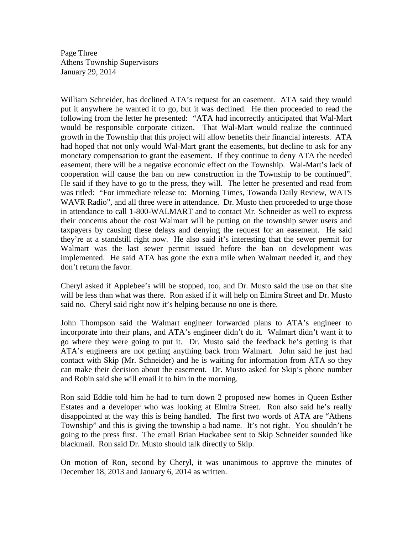Page Three Athens Township Supervisors January 29, 2014

William Schneider, has declined ATA's request for an easement. ATA said they would put it anywhere he wanted it to go, but it was declined. He then proceeded to read the following from the letter he presented: "ATA had incorrectly anticipated that Wal-Mart would be responsible corporate citizen. That Wal-Mart would realize the continued growth in the Township that this project will allow benefits their financial interests. ATA had hoped that not only would Wal-Mart grant the easements, but decline to ask for any monetary compensation to grant the easement. If they continue to deny ATA the needed easement, there will be a negative economic effect on the Township. Wal-Mart's lack of cooperation will cause the ban on new construction in the Township to be continued". He said if they have to go to the press, they will. The letter he presented and read from was titled: "For immediate release to: Morning Times, Towanda Daily Review, WATS WAVR Radio", and all three were in attendance. Dr. Musto then proceeded to urge those in attendance to call 1-800-WALMART and to contact Mr. Schneider as well to express their concerns about the cost Walmart will be putting on the township sewer users and taxpayers by causing these delays and denying the request for an easement. He said they're at a standstill right now. He also said it's interesting that the sewer permit for Walmart was the last sewer permit issued before the ban on development was implemented. He said ATA has gone the extra mile when Walmart needed it, and they don't return the favor.

Cheryl asked if Applebee's will be stopped, too, and Dr. Musto said the use on that site will be less than what was there. Ron asked if it will help on Elmira Street and Dr. Musto said no. Cheryl said right now it's helping because no one is there.

John Thompson said the Walmart engineer forwarded plans to ATA's engineer to incorporate into their plans, and ATA's engineer didn't do it. Walmart didn't want it to go where they were going to put it. Dr. Musto said the feedback he's getting is that ATA's engineers are not getting anything back from Walmart. John said he just had contact with Skip (Mr. Schneider) and he is waiting for information from ATA so they can make their decision about the easement. Dr. Musto asked for Skip's phone number and Robin said she will email it to him in the morning.

Ron said Eddie told him he had to turn down 2 proposed new homes in Queen Esther Estates and a developer who was looking at Elmira Street. Ron also said he's really disappointed at the way this is being handled. The first two words of ATA are "Athens Township" and this is giving the township a bad name. It's not right. You shouldn't be going to the press first. The email Brian Huckabee sent to Skip Schneider sounded like blackmail. Ron said Dr. Musto should talk directly to Skip.

On motion of Ron, second by Cheryl, it was unanimous to approve the minutes of December 18, 2013 and January 6, 2014 as written.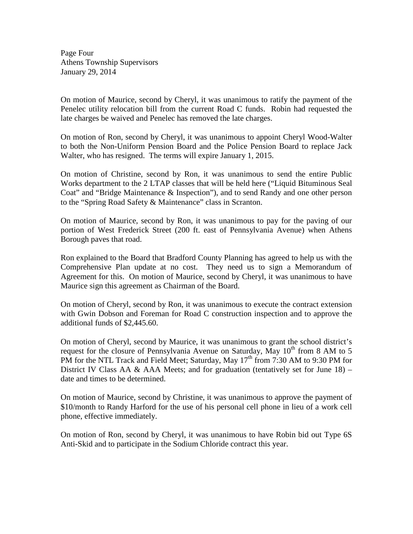Page Four Athens Township Supervisors January 29, 2014

On motion of Maurice, second by Cheryl, it was unanimous to ratify the payment of the Penelec utility relocation bill from the current Road C funds. Robin had requested the late charges be waived and Penelec has removed the late charges.

On motion of Ron, second by Cheryl, it was unanimous to appoint Cheryl Wood-Walter to both the Non-Uniform Pension Board and the Police Pension Board to replace Jack Walter, who has resigned. The terms will expire January 1, 2015.

On motion of Christine, second by Ron, it was unanimous to send the entire Public Works department to the 2 LTAP classes that will be held here ("Liquid Bituminous Seal Coat" and "Bridge Maintenance & Inspection"), and to send Randy and one other person to the "Spring Road Safety & Maintenance" class in Scranton.

On motion of Maurice, second by Ron, it was unanimous to pay for the paving of our portion of West Frederick Street (200 ft. east of Pennsylvania Avenue) when Athens Borough paves that road.

Ron explained to the Board that Bradford County Planning has agreed to help us with the Comprehensive Plan update at no cost. They need us to sign a Memorandum of Agreement for this. On motion of Maurice, second by Cheryl, it was unanimous to have Maurice sign this agreement as Chairman of the Board.

On motion of Cheryl, second by Ron, it was unanimous to execute the contract extension with Gwin Dobson and Foreman for Road C construction inspection and to approve the additional funds of \$2,445.60.

On motion of Cheryl, second by Maurice, it was unanimous to grant the school district's request for the closure of Pennsylvania Avenue on Saturday, May  $10^{th}$  from 8 AM to 5 PM for the NTL Track and Field Meet; Saturday, May  $17<sup>th</sup>$  from 7:30 AM to 9:30 PM for District IV Class AA & AAA Meets; and for graduation (tentatively set for June  $18$ ) – date and times to be determined.

On motion of Maurice, second by Christine, it was unanimous to approve the payment of \$10/month to Randy Harford for the use of his personal cell phone in lieu of a work cell phone, effective immediately.

On motion of Ron, second by Cheryl, it was unanimous to have Robin bid out Type 6S Anti-Skid and to participate in the Sodium Chloride contract this year.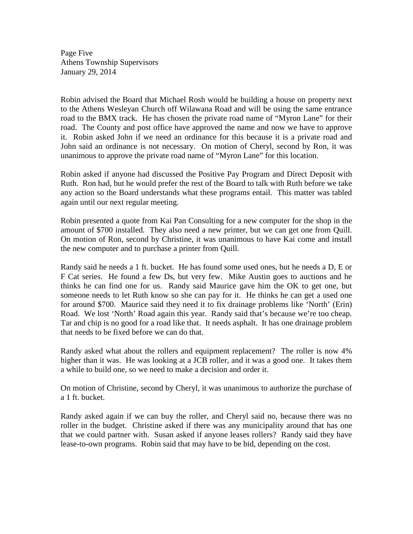Page Five Athens Township Supervisors January 29, 2014

Robin advised the Board that Michael Rosh would be building a house on property next to the Athens Wesleyan Church off Wilawana Road and will be using the same entrance road to the BMX track. He has chosen the private road name of "Myron Lane" for their road. The County and post office have approved the name and now we have to approve it. Robin asked John if we need an ordinance for this because it is a private road and John said an ordinance is not necessary. On motion of Cheryl, second by Ron, it was unanimous to approve the private road name of "Myron Lane" for this location.

Robin asked if anyone had discussed the Positive Pay Program and Direct Deposit with Ruth. Ron had, but he would prefer the rest of the Board to talk with Ruth before we take any action so the Board understands what these programs entail. This matter was tabled again until our next regular meeting.

Robin presented a quote from Kai Pan Consulting for a new computer for the shop in the amount of \$700 installed. They also need a new printer, but we can get one from Quill. On motion of Ron, second by Christine, it was unanimous to have Kai come and install the new computer and to purchase a printer from Quill.

Randy said he needs a 1 ft. bucket. He has found some used ones, but he needs a D, E or F Cat series. He found a few Ds, but very few. Mike Austin goes to auctions and he thinks he can find one for us. Randy said Maurice gave him the OK to get one, but someone needs to let Ruth know so she can pay for it. He thinks he can get a used one for around \$700. Maurice said they need it to fix drainage problems like 'North' (Erin) Road. We lost 'North' Road again this year. Randy said that's because we're too cheap. Tar and chip is no good for a road like that. It needs asphalt. It has one drainage problem that needs to be fixed before we can do that.

Randy asked what about the rollers and equipment replacement? The roller is now 4% higher than it was. He was looking at a JCB roller, and it was a good one. It takes them a while to build one, so we need to make a decision and order it.

On motion of Christine, second by Cheryl, it was unanimous to authorize the purchase of a 1 ft. bucket.

Randy asked again if we can buy the roller, and Cheryl said no, because there was no roller in the budget. Christine asked if there was any municipality around that has one that we could partner with. Susan asked if anyone leases rollers? Randy said they have lease-to-own programs. Robin said that may have to be bid, depending on the cost.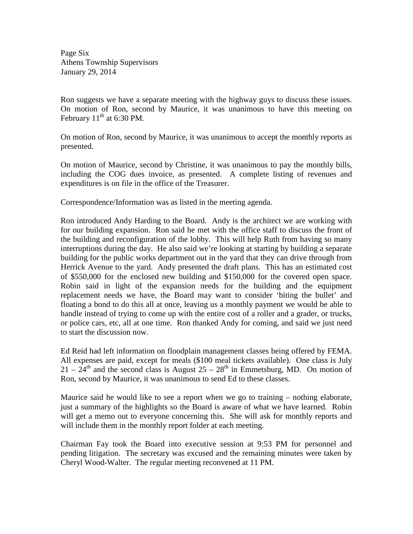Page Six Athens Township Supervisors January 29, 2014

Ron suggests we have a separate meeting with the highway guys to discuss these issues. On motion of Ron, second by Maurice, it was unanimous to have this meeting on February  $11<sup>th</sup>$  at 6:30 PM.

On motion of Ron, second by Maurice, it was unanimous to accept the monthly reports as presented.

On motion of Maurice, second by Christine, it was unanimous to pay the monthly bills, including the COG dues invoice, as presented. A complete listing of revenues and expenditures is on file in the office of the Treasurer.

Correspondence/Information was as listed in the meeting agenda.

Ron introduced Andy Harding to the Board. Andy is the architect we are working with for our building expansion. Ron said he met with the office staff to discuss the front of the building and reconfiguration of the lobby. This will help Ruth from having so many interruptions during the day. He also said we're looking at starting by building a separate building for the public works department out in the yard that they can drive through from Herrick Avenue to the yard. Andy presented the draft plans. This has an estimated cost of \$550,000 for the enclosed new building and \$150,000 for the covered open space. Robin said in light of the expansion needs for the building and the equipment replacement needs we have, the Board may want to consider 'biting the bullet' and floating a bond to do this all at once, leaving us a monthly payment we would be able to handle instead of trying to come up with the entire cost of a roller and a grader, or trucks, or police cars, etc, all at one time. Ron thanked Andy for coming, and said we just need to start the discussion now.

Ed Reid had left information on floodplain management classes being offered by FEMA. All expenses are paid, except for meals (\$100 meal tickets available). One class is July  $21 - 24$ <sup>th</sup> and the second class is August  $25 - 28$ <sup>th</sup> in Emmetsburg, MD. On motion of Ron, second by Maurice, it was unanimous to send Ed to these classes.

Maurice said he would like to see a report when we go to training – nothing elaborate, just a summary of the highlights so the Board is aware of what we have learned. Robin will get a memo out to everyone concerning this. She will ask for monthly reports and will include them in the monthly report folder at each meeting.

Chairman Fay took the Board into executive session at 9:53 PM for personnel and pending litigation. The secretary was excused and the remaining minutes were taken by Cheryl Wood-Walter. The regular meeting reconvened at 11 PM.